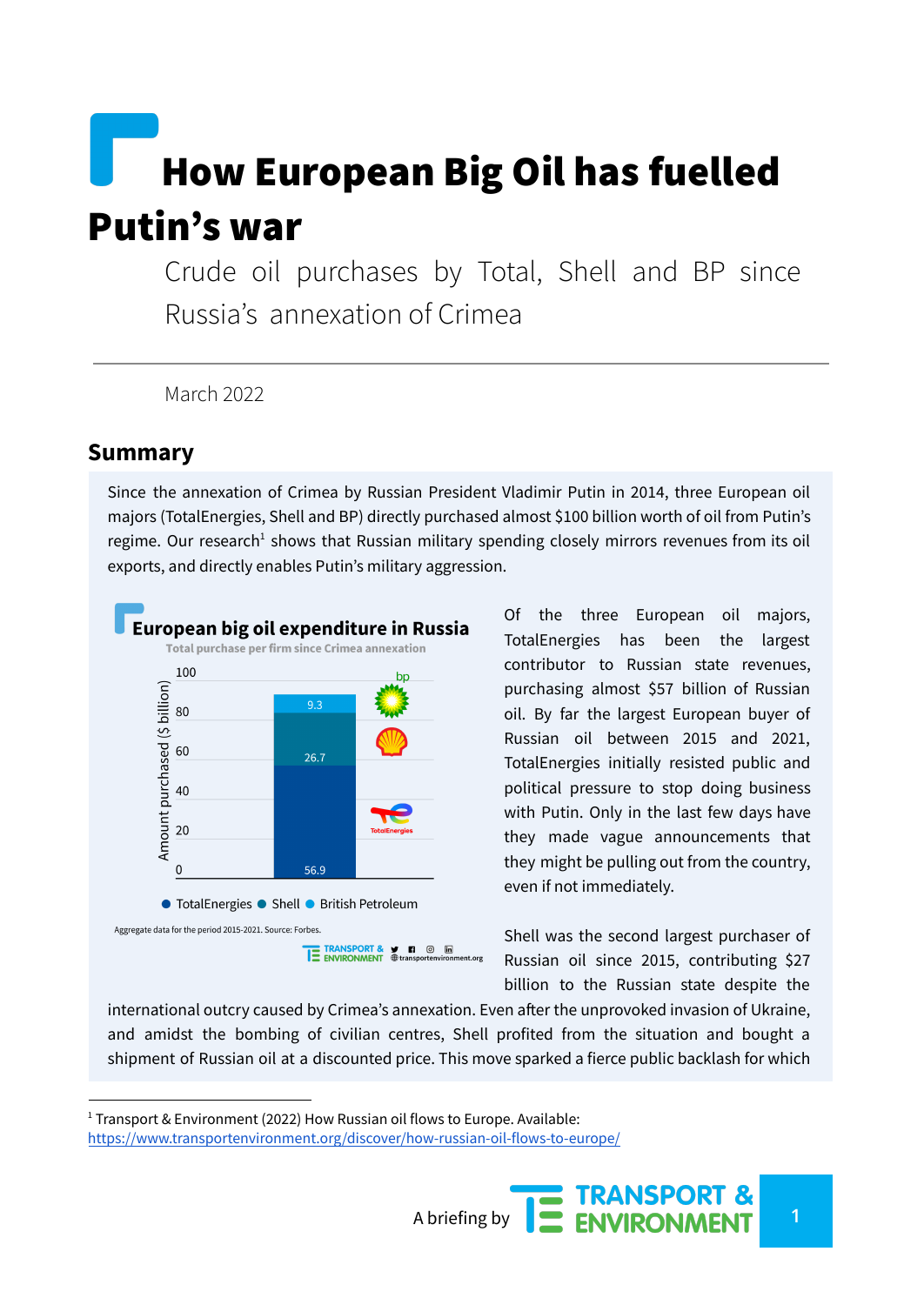# How European Big Oil has fuelled Putin's war

Crude oil purchases by Total, Shell and BP since Russia's annexation of Crimea

March 2022

#### **Summary**

Since the annexation of Crimea by Russian President Vladimir Putin in 2014, three European oil majors (TotalEnergies, Shell and BP) directly purchased almost \$100 billion worth of oil from Putin's regime. Our research<sup>1</sup> shows that Russian military spending closely mirrors revenues from its oil exports, and directly enables Putin's military aggression.



Of the three European oil majors, TotalEnergies has been the largest contributor to Russian state revenues, purchasing almost \$57 billion of Russian oil. By far the largest European buyer of Russian oil between 2015 and 2021, TotalEnergies initially resisted public and political pressure to stop doing business with Putin. Only in the last few days have they made vague announcements that they might be pulling out from the country, even if not immediately.

Shell was the second largest purchaser of Russian oil since 2015, contributing \$27 billion to the Russian state despite the

international outcry caused by Crimea's annexation. Even after the unprovoked invasion of Ukraine, and amidst the bombing of civilian centres, Shell profited from the situation and bought a shipment of Russian oil at a discounted price. This move sparked a fierce public backlash for which

 $1$  Transport & Environment (2022) How Russian oil flows to Europe. Available: <https://www.transportenvironment.org/discover/how-russian-oil-flows-to-europe/>

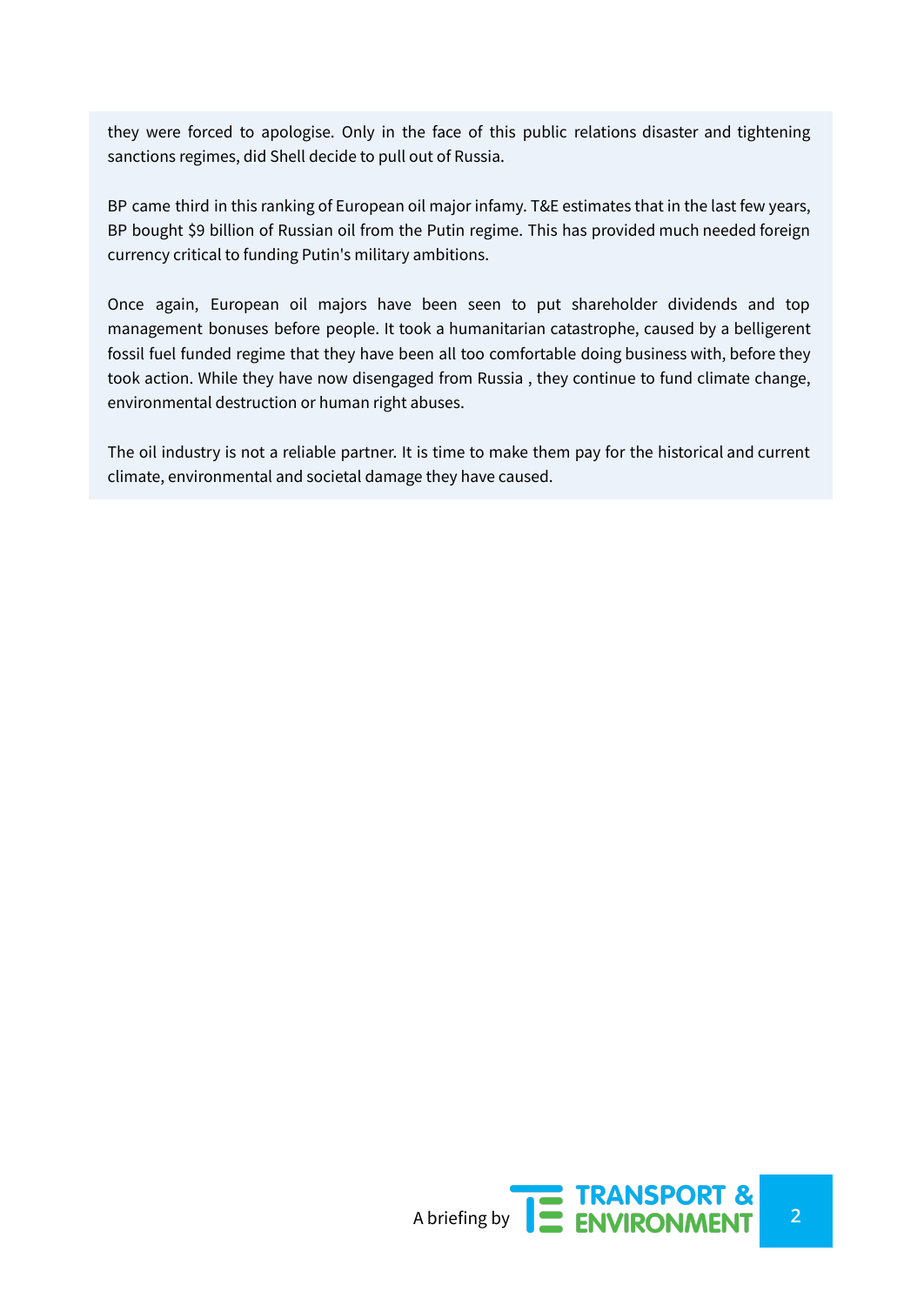they were forced to apologise. Only in the face of this public relations disaster and tightening sanctions regimes, did Shell decide to pull out of Russia.

BP came third in this ranking of European oil major infamy. T&E estimates that in the last few years, BP bought \$9 billion of Russian oil from the Putin regime. This has provided much needed foreign currency critical to funding Putin's military ambitions.

Once again, European oil majors have been seen to put shareholder dividends and top management bonuses before people. It took a humanitarian catastrophe, caused by a belligerent fossil fuel funded regime that they have been all too comfortable doing business with, before they took action. While they have now disengaged from Russia , they continue to fund climate change, environmental destruction or human right abuses.

The oil industry is not a reliable partner. It is time to make them pay for the historical and current climate, environmental and societal damage they have caused.

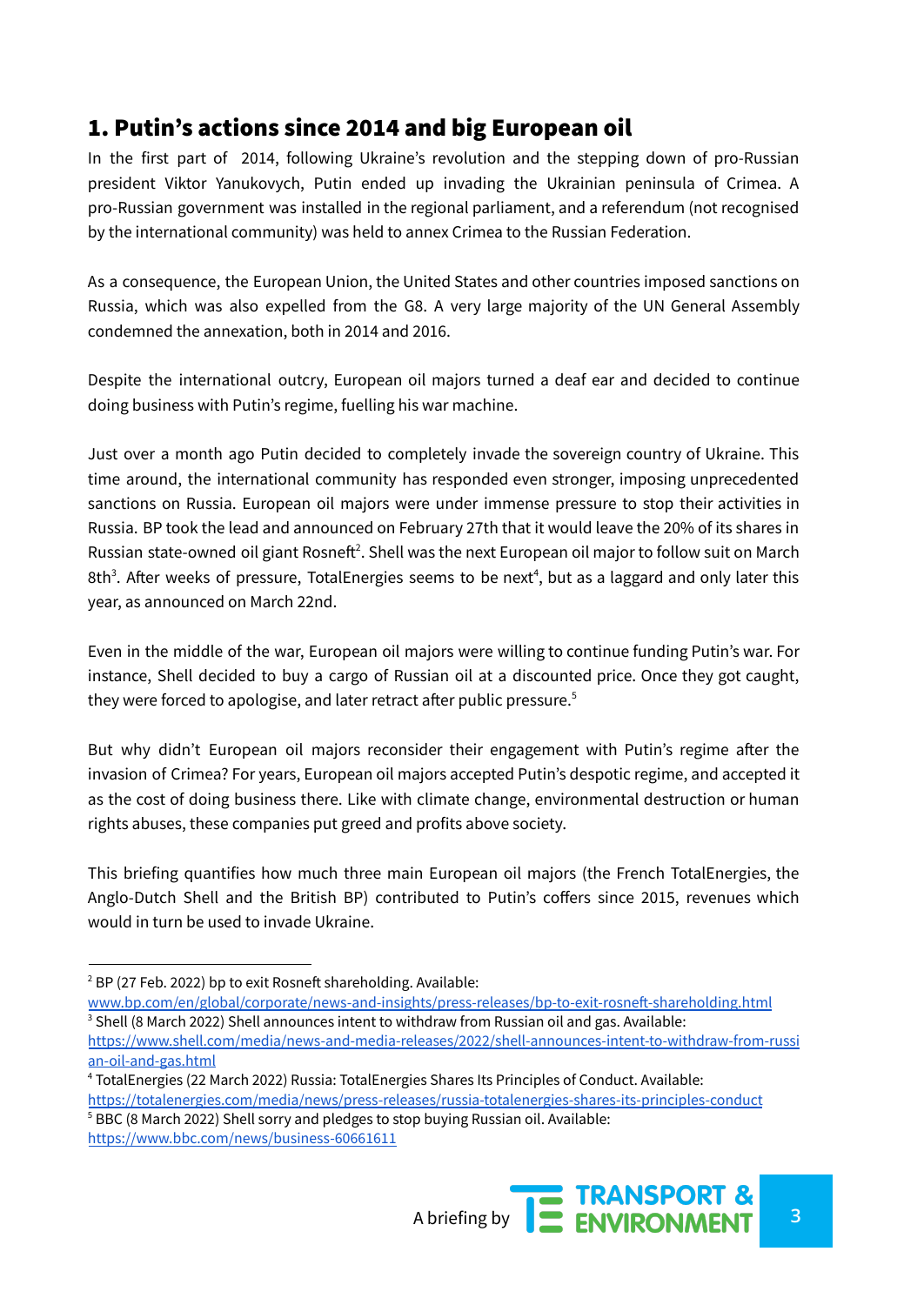## 1. Putin's actions since 2014 and big European oil

In the first part of 2014, following Ukraine's revolution and the stepping down of pro-Russian president Viktor Yanukovych, Putin ended up invading the Ukrainian peninsula of Crimea. A pro-Russian government was installed in the regional parliament, and a referendum (not recognised by the international community) was held to annex Crimea to the Russian Federation.

As a consequence, the European Union, the United States and other countries imposed sanctions on Russia, which was also expelled from the G8. A very large majority of the UN General Assembly condemned the annexation, both in 2014 and 2016.

Despite the international outcry, European oil majors turned a deaf ear and decided to continue doing business with Putin's regime, fuelling his war machine.

Just over a month ago Putin decided to completely invade the sovereign country of Ukraine. This time around, the international community has responded even stronger, imposing unprecedented sanctions on Russia. European oil majors were under immense pressure to stop their activities in Russia. BP took the lead and announced on February 27th that it would leave the 20% of its shares in Russian state-owned oil giant Rosneft<sup>2</sup>. Shell was the next European oil major to follow suit on March 8th<sup>3</sup>. After weeks of pressure, TotalEnergies seems to be next<sup>4</sup>, but as a laggard and only later this year, as announced on March 22nd.

Even in the middle of the war, European oil majors were willing to continue funding Putin's war. For instance, Shell decided to buy a cargo of Russian oil at a discounted price. Once they got caught, they were forced to apologise, and later retract after public pressure. 5

But why didn't European oil majors reconsider their engagement with Putin's regime after the invasion of Crimea? For years, European oil majors accepted Putin's despotic regime, and accepted it as the cost of doing business there. Like with climate change, environmental destruction or human rights abuses, these companies put greed and profits above society.

This briefing quantifies how much three main European oil majors (the French TotalEnergies, the Anglo-Dutch Shell and the British BP) contributed to Putin's coffers since 2015, revenues which would in turn be used to invade Ukraine.

<sup>&</sup>lt;sup>5</sup> BBC (8 March 2022) Shell sorry and pledges to stop buying Russian oil. Available: <https://www.bbc.com/news/business-60661611>



 $2$  BP (27 Feb. 2022) bp to exit Rosneft shareholding. Available:

<sup>&</sup>lt;sup>3</sup> Shell (8 March 2022) Shell announces intent to withdraw from Russian oil and gas. Available: [www.bp.com/en/global/corporate/news-and-insights/press-releases/bp-to-exit-rosneft-shareholding.html](https://www.bp.com/en/global/corporate/news-and-insights/press-releases/bp-to-exit-rosneft-shareholding.html)

[https://www.shell.com/media/news-and-media-releases/2022/shell-announces-intent-to-withdraw-from-russi](https://www.shell.com/media/news-and-media-releases/2022/shell-announces-intent-to-withdraw-from-russian-oil-and-gas.html) [an-oil-and-gas.html](https://www.shell.com/media/news-and-media-releases/2022/shell-announces-intent-to-withdraw-from-russian-oil-and-gas.html)

<sup>4</sup> TotalEnergies (22 March 2022) Russia: TotalEnergies Shares Its Principles of Conduct. Available: <https://totalenergies.com/media/news/press-releases/russia-totalenergies-shares-its-principles-conduct>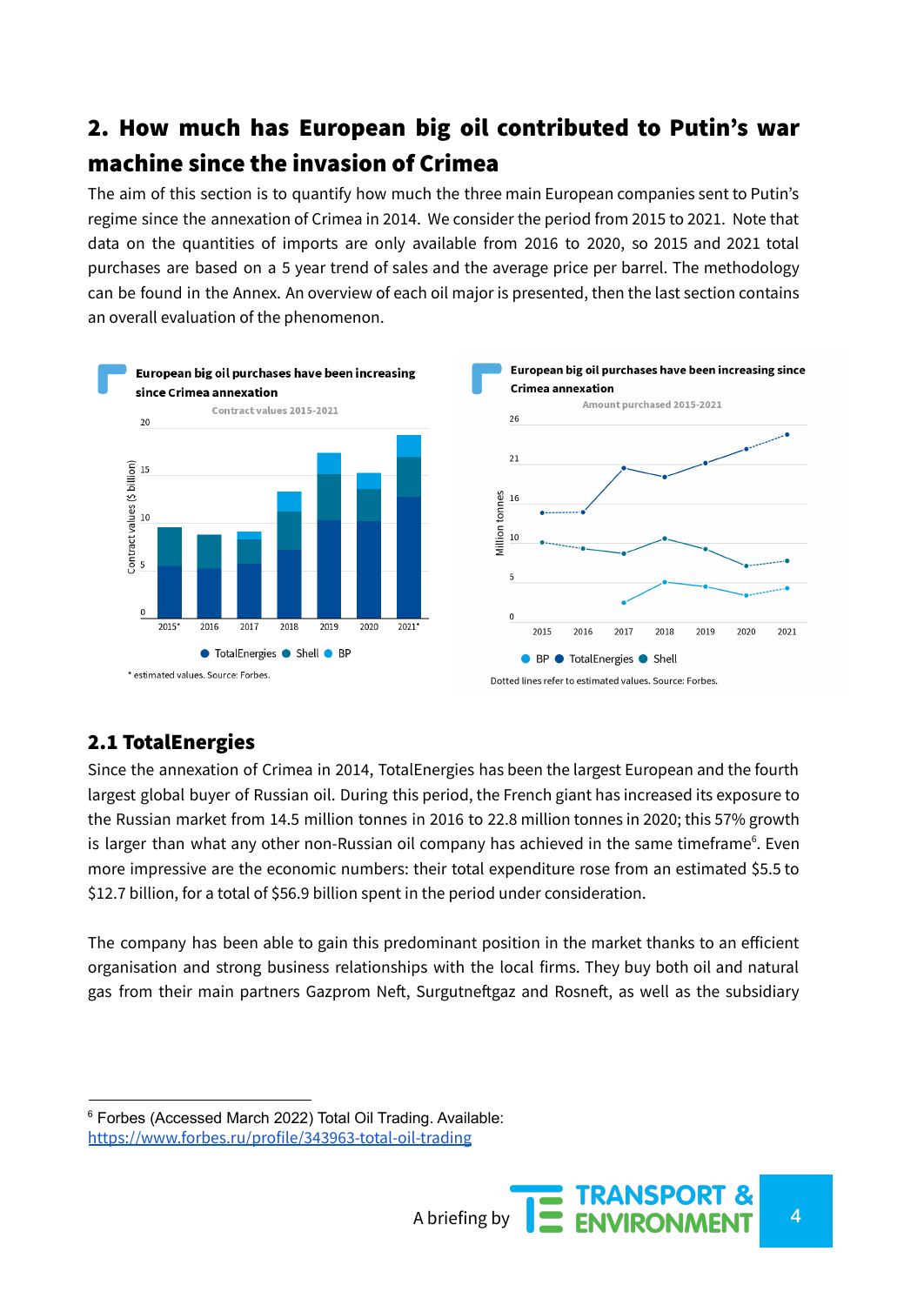## 2. How much has European big oil contributed to Putin's war machine since the invasion of Crimea

The aim of this section is to quantify how much the three main European companies sent to Putin's regime since the annexation of Crimea in 2014. We consider the period from 2015 to 2021. Note that data on the quantities of imports are only available from 2016 to 2020, so 2015 and 2021 total purchases are based on a 5 year trend of sales and the average price per barrel. The methodology can be found in the Annex. An overview of each oil major is presented, then the last section contains an overall evaluation of the phenomenon.



#### 2.1 TotalEnergies

Since the annexation of Crimea in 2014, TotalEnergies has been the largest European and the fourth largest global buyer of Russian oil. During this period, the French giant has increased its exposure to the Russian market from 14.5 million tonnes in 2016 to 22.8 million tonnes in 2020; this 57% growth is larger than what any other non-Russian oil company has achieved in the same timeframe<sup>6</sup>. Even more impressive are the economic numbers: their total expenditure rose from an estimated \$5.5 to \$12.7 billion, for a total of \$56.9 billion spent in the period under consideration.

The company has been able to gain this predominant position in the market thanks to an efficient organisation and strong business relationships with the local firms. They buy both oil and natural gas from their main partners Gazprom Neft, Surgutneftgaz and Rosneft, as well as the subsidiary

A briefing by **4 ENVIRONMENT** 

<sup>6</sup> Forbes (Accessed March 2022) Total Oil Trading. Available: <https://www.forbes.ru/profile/343963-total-oil-trading>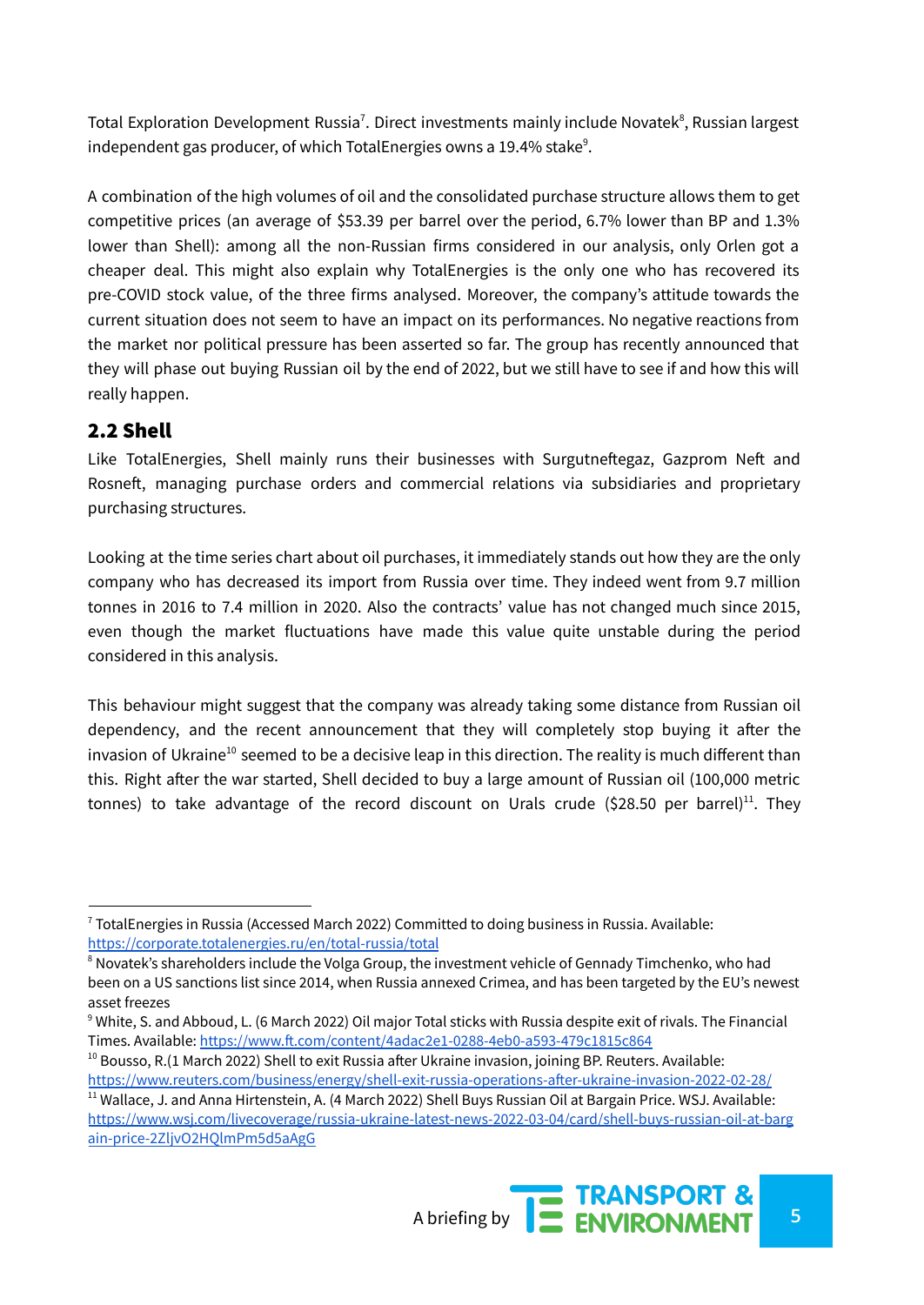Total Exploration Development Russia<sup>7</sup>. Direct investments mainly include Novatek<sup>8</sup>, Russian largest independent gas producer, of which TotalEnergies owns a 19.4% stake $^{\rm 9}$ .

A combination of the high volumes of oil and the consolidated purchase structure allows them to get competitive prices (an average of \$53.39 per barrel over the period, 6.7% lower than BP and 1.3% lower than Shell): among all the non-Russian firms considered in our analysis, only Orlen got a cheaper deal. This might also explain why TotalEnergies is the only one who has recovered its pre-COVID stock value, of the three firms analysed. Moreover, the company's attitude towards the current situation does not seem to have an impact on its performances. No negative reactions from the market nor political pressure has been asserted so far. The group has recently announced that they will phase out buying Russian oil by the end of 2022, but we still have to see if and how this will really happen.

#### 2.2 Shell

Like TotalEnergies, Shell mainly runs their businesses with Surgutneftegaz, Gazprom Neft and Rosneft, managing purchase orders and commercial relations via subsidiaries and proprietary purchasing structures.

Looking at the time series chart about oil purchases, it immediately stands out how they are the only company who has decreased its import from Russia over time. They indeed went from 9.7 million tonnes in 2016 to 7.4 million in 2020. Also the contracts' value has not changed much since 2015, even though the market fluctuations have made this value quite unstable during the period considered in this analysis.

This behaviour might suggest that the company was already taking some distance from Russian oil dependency, and the recent announcement that they will completely stop buying it after the invasion of Ukraine<sup>10</sup> seemed to be a decisive leap in this direction. The reality is much different than this. Right after the war started, Shell decided to buy a large amount of Russian oil (100,000 metric tonnes) to take advantage of the record discount on Urals crude (\$28.50 per barrel)<sup>11</sup>. They

 $10$  Bousso, R.(1 March 2022) Shell to exit Russia after Ukraine invasion, joining BP. Reuters. Available: <https://www.reuters.com/business/energy/shell-exit-russia-operations-after-ukraine-invasion-2022-02-28/>

<sup>&</sup>lt;sup>11</sup> Wallace, J. and Anna Hirtenstein, A. (4 March 2022) Shell Buys Russian Oil at Bargain Price. WSJ. Available: [https://www.wsj.com/livecoverage/russia-ukraine-latest-news-2022-03-04/card/shell-buys-russian-oil-at-barg](https://www.wsj.com/livecoverage/russia-ukraine-latest-news-2022-03-04/card/shell-buys-russian-oil-at-bargain-price-2ZljvO2HQlmPm5d5aAgG) [ain-price-2ZljvO2HQlmPm5d5aAgG](https://www.wsj.com/livecoverage/russia-ukraine-latest-news-2022-03-04/card/shell-buys-russian-oil-at-bargain-price-2ZljvO2HQlmPm5d5aAgG)



<sup>7</sup> TotalEnergies in Russia (Accessed March 2022) Committed to doing business in Russia. Available: <https://corporate.totalenergies.ru/en/total-russia/total>

<sup>&</sup>lt;sup>8</sup> Novatek's shareholders include the Volga Group, the investment vehicle of Gennady Timchenko, who had been on a US sanctions list since 2014, when Russia annexed Crimea, and has been targeted by the EU's newest asset freezes

<sup>9</sup> White, S. and Abboud, L. (6 March 2022) Oil major Total sticks with Russia despite exit of rivals. The Financial Times. Available: <https://www.ft.com/content/4adac2e1-0288-4eb0-a593-479c1815c864>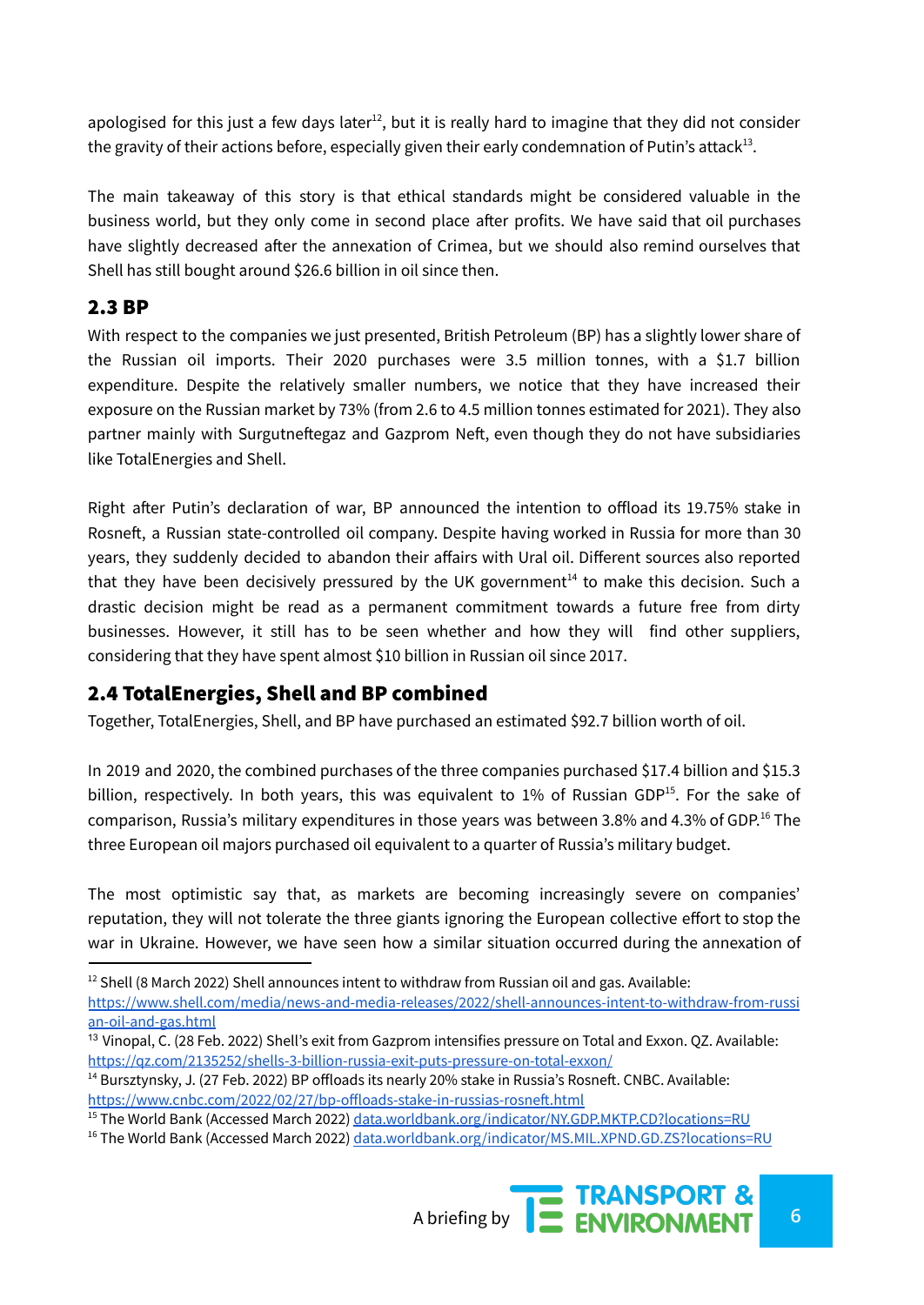apologised for this just a few days later $^{12}$ , but it is really hard to imagine that they did not consider the gravity of their actions before, especially given their early condemnation of Putin's attack $^{13}$ .

The main takeaway of this story is that ethical standards might be considered valuable in the business world, but they only come in second place after profits. We have said that oil purchases have slightly decreased after the annexation of Crimea, but we should also remind ourselves that Shell has still bought around \$26.6 billion in oil since then.

#### 2.3 BP

With respect to the companies we just presented, British Petroleum (BP) has a slightly lower share of the Russian oil imports. Their 2020 purchases were 3.5 million tonnes, with a \$1.7 billion expenditure. Despite the relatively smaller numbers, we notice that they have increased their exposure on the Russian market by 73% (from 2.6 to 4.5 million tonnes estimated for 2021). They also partner mainly with Surgutneftegaz and Gazprom Neft, even though they do not have subsidiaries like TotalEnergies and Shell.

Right after Putin's declaration of war, BP [announced](https://www.bp.com/content/dam/bp/business-sites/en/global/corporate/pdfs/news-and-insights/press-releases/bp-to-exit-rosneft-shareholding.pdf) the intention to offload its 19.75% stake in Rosneft, a Russian state-controlled oil company. Despite having worked in Russia for more than 30 years, they suddenly decided to abandon their affairs with Ural oil. Different sources also reported that they have been decisively pressured by the UK government<sup>14</sup> to make this decision. Such a drastic decision might be read as a permanent commitment towards a future free from dirty businesses. However, it still has to be seen whether and how they will find other suppliers, considering that they have spent almost \$10 billion in Russian oil since 2017.

#### 2.4 TotalEnergies, Shell and BP combined

Together, TotalEnergies, Shell, and BP have purchased an estimated \$92.7 billion worth of oil.

In 2019 and 2020, the combined purchases of the three companies purchased \$17.4 billion and \$15.3 billion, respectively. In both years, this was equivalent to 1% of Russian GDP<sup>15</sup>. For the sake of comparison, Russia's military expenditures in those years was between 3.8% and 4.3% of GDP.<sup>16</sup> The three European oil majors purchased oil equivalent to a quarter of Russia's military budget.

The most optimistic say that, as markets are becoming increasingly severe on companies' reputation, they will not tolerate the three giants ignoring the European collective effort to stop the war in Ukraine. However, we have seen how a similar situation occurred during the annexation of

<sup>&</sup>lt;sup>16</sup> The World Bank (Accessed March 2022) [data.worldbank.org/indicator/MS.MIL.XPND.GD.ZS?locations=RU](https://data.worldbank.org/indicator/MS.MIL.XPND.GD.ZS?locations=RU)



 $12$  Shell (8 March 2022) Shell announces intent to withdraw from Russian oil and gas. Available: [https://www.shell.com/media/news-and-media-releases/2022/shell-announces-intent-to-withdraw-from-russi](https://www.shell.com/media/news-and-media-releases/2022/shell-announces-intent-to-withdraw-from-russian-oil-and-gas.html) [an-oil-and-gas.html](https://www.shell.com/media/news-and-media-releases/2022/shell-announces-intent-to-withdraw-from-russian-oil-and-gas.html)

<sup>&</sup>lt;sup>13</sup> Vinopal, C. (28 Feb. 2022) Shell's exit from Gazprom intensifies pressure on Total and Exxon. QZ. Available: <https://qz.com/2135252/shells-3-billion-russia-exit-puts-pressure-on-total-exxon/>

<sup>&</sup>lt;sup>14</sup> Bursztynsky, J. (27 Feb. 2022) BP offloads its nearly 20% stake in Russia's Rosneft. CNBC. Available: <https://www.cnbc.com/2022/02/27/bp-offloads-stake-in-russias-rosneft.html>

<sup>&</sup>lt;sup>15</sup> The World Bank (Accessed March 2022) [data.worldbank.org/indicator/NY.GDP.MKTP.CD?locations=RU](https://data.worldbank.org/indicator/NY.GDP.MKTP.CD?locations=RU)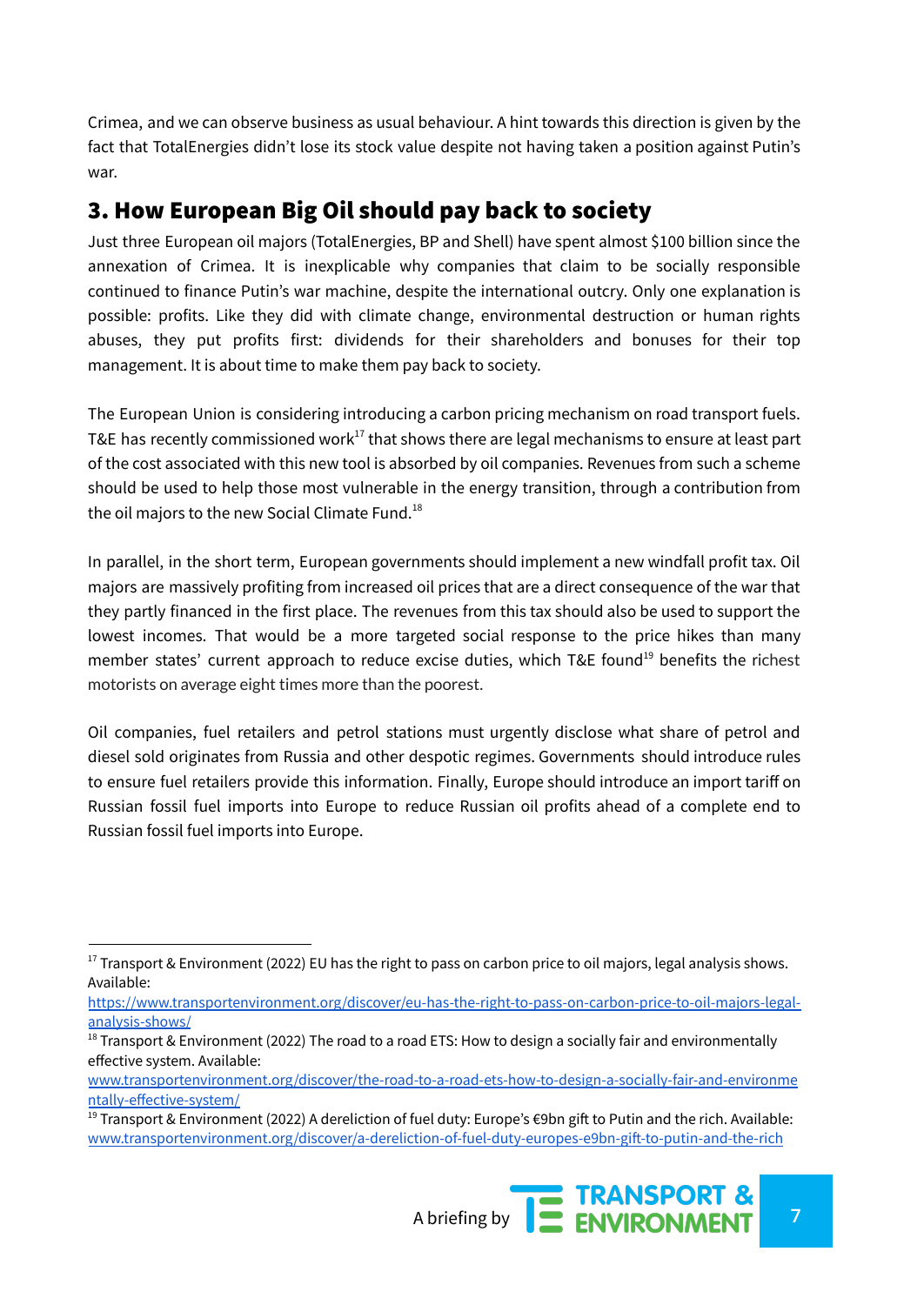Crimea, and we can observe business as usual behaviour. A hint towards this direction is given by the fact that TotalEnergies didn't lose its stock value despite not having taken a position against Putin's war.

### 3. How European Big Oil should pay back to society

Just three European oil majors (TotalEnergies, BP and Shell) have spent almost \$100 billion since the annexation of Crimea. It is inexplicable why companies that claim to be socially responsible continued to finance Putin's war machine, despite the international outcry. Only one explanation is possible: profits. Like they did with climate change, environmental destruction or human rights abuses, they put profits first: dividends for their shareholders and bonuses for their top management. It is about time to make them pay back to society.

The European Union is considering introducing a carbon pricing mechanism on road transport fuels. T&E has recently commissioned work $^{17}$  that shows there are legal mechanisms to ensure at least part of the cost associated with this new tool is absorbed by oil companies. Revenues from such a scheme should be used to help those most vulnerable in the energy transition, through a contribution from the oil majors to the new Social Climate Fund. $^{18}$ 

In parallel, in the short term, European governments should implement a new windfall profit tax. Oil majors are massively profiting from increased oil prices that are a direct consequence of the war that they partly financed in the first place. The revenues from this tax should also be used to support the lowest incomes. That would be a more targeted social response to the price hikes than many member states' current approach to reduce excise duties, which T&E found<sup>19</sup> benefits the richest motorists on average eight times more than the poorest.

Oil companies, fuel retailers and petrol stations must urgently disclose what share of petrol and diesel sold originates from Russia and other despotic regimes. Governments should introduce rules to ensure fuel retailers provide this information. Finally, Europe should introduce an import tariff on Russian fossil fuel imports into Europe to reduce Russian oil profits ahead of a complete end to Russian fossil fuel imports into Europe.

<sup>&</sup>lt;sup>19</sup> Transport & Environment (2022) A dereliction of fuel duty: Europe's €9bn gift to Putin and the rich. Available: [www.transportenvironment.org/discover/a-dereliction-of-fuel-duty-europes-e9bn-gift-to-putin-and-the-rich](https://www.transportenvironment.org/discover/a-dereliction-of-fuel-duty-europes-e9bn-gift-to-putin-and-the-rich)



 $17$  Transport & Environment (2022) EU has the right to pass on carbon price to oil majors, legal analysis shows. Available:

[https://www.transportenvironment.org/discover/eu-has-the-right-to-pass-on-carbon-price-to-oil-majors-legal](https://www.transportenvironment.org/discover/eu-has-the-right-to-pass-on-carbon-price-to-oil-majors-legal-analysis-shows/)[analysis-shows/](https://www.transportenvironment.org/discover/eu-has-the-right-to-pass-on-carbon-price-to-oil-majors-legal-analysis-shows/)

<sup>&</sup>lt;sup>18</sup> Transport & Environment (2022) The road to a road ETS: How to design a socially fair and environmentally effective system. Available:

[www.transportenvironment.org/discover/the-road-to-a-road-ets-how-to-design-a-socially-fair-and-environme](https://www.transportenvironment.org/discover/the-road-to-a-road-ets-how-to-design-a-socially-fair-and-environmentally-effective-system/) [ntally-effective-system/](https://www.transportenvironment.org/discover/the-road-to-a-road-ets-how-to-design-a-socially-fair-and-environmentally-effective-system/)